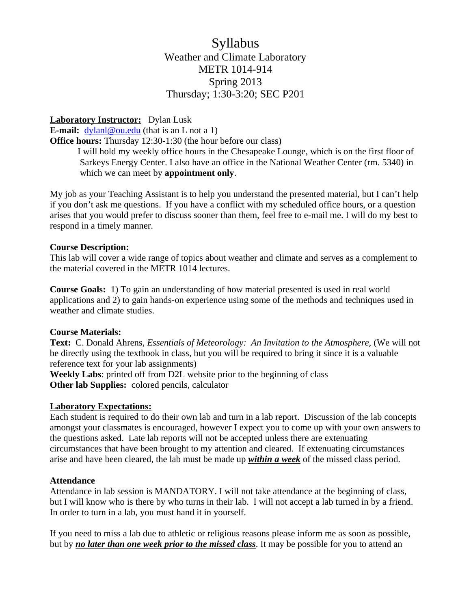# Syllabus Weather and Climate Laboratory METR 1014-914 Spring 2013 Thursday; 1:30-3:20; SEC P201

## **Laboratory Instructor:** Dylan Lusk

**E-mail:**  $\frac{dv \tanh(\omega \cdot \text{ou.edu})}{dv \cdot \text{du}}$  (that is an L not a 1)

**Office hours:** Thursday 12:30-1:30 (the hour before our class)

I will hold my weekly office hours in the Chesapeake Lounge, which is on the first floor of Sarkeys Energy Center. I also have an office in the National Weather Center (rm. 5340) in which we can meet by **appointment only**.

My job as your Teaching Assistant is to help you understand the presented material, but I can't help if you don't ask me questions. If you have a conflict with my scheduled office hours, or a question arises that you would prefer to discuss sooner than them, feel free to e-mail me. I will do my best to respond in a timely manner.

## **Course Description:**

This lab will cover a wide range of topics about weather and climate and serves as a complement to the material covered in the METR 1014 lectures.

**Course Goals:** 1) To gain an understanding of how material presented is used in real world applications and 2) to gain hands-on experience using some of the methods and techniques used in weather and climate studies.

## **Course Materials:**

**Text:** C. Donald Ahrens, *Essentials of Meteorology: An Invitation to the Atmosphere,* (We will not be directly using the textbook in class, but you will be required to bring it since it is a valuable reference text for your lab assignments)

**Weekly Labs**: printed off from D2L website prior to the beginning of class **Other lab Supplies:** colored pencils, calculator

### **Laboratory Expectations:**

Each student is required to do their own lab and turn in a lab report. Discussion of the lab concepts amongst your classmates is encouraged, however I expect you to come up with your own answers to the questions asked. Late lab reports will not be accepted unless there are extenuating circumstances that have been brought to my attention and cleared. If extenuating circumstances arise and have been cleared, the lab must be made up *within a week* of the missed class period.

### **Attendance**

Attendance in lab session is MANDATORY. I will not take attendance at the beginning of class, but I will know who is there by who turns in their lab. I will not accept a lab turned in by a friend. In order to turn in a lab, you must hand it in yourself.

If you need to miss a lab due to athletic or religious reasons please inform me as soon as possible, but by *no later than one week prior to the missed class*. It may be possible for you to attend an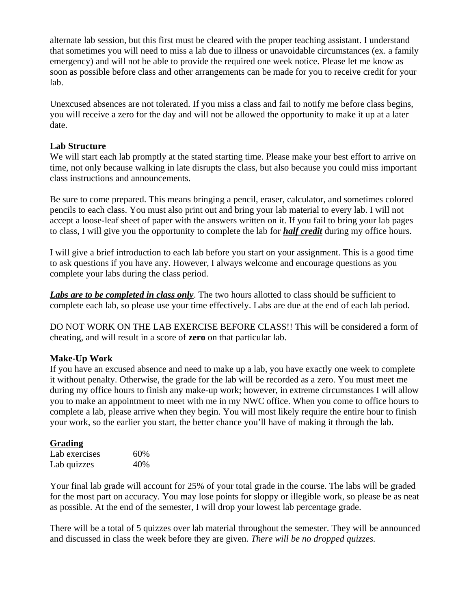alternate lab session, but this first must be cleared with the proper teaching assistant. I understand that sometimes you will need to miss a lab due to illness or unavoidable circumstances (ex. a family emergency) and will not be able to provide the required one week notice. Please let me know as soon as possible before class and other arrangements can be made for you to receive credit for your lab.

Unexcused absences are not tolerated. If you miss a class and fail to notify me before class begins, you will receive a zero for the day and will not be allowed the opportunity to make it up at a later date.

## **Lab Structure**

We will start each lab promptly at the stated starting time. Please make your best effort to arrive on time, not only because walking in late disrupts the class, but also because you could miss important class instructions and announcements.

Be sure to come prepared. This means bringing a pencil, eraser, calculator, and sometimes colored pencils to each class. You must also print out and bring your lab material to every lab. I will not accept a loose-leaf sheet of paper with the answers written on it. If you fail to bring your lab pages to class, I will give you the opportunity to complete the lab for *half credit* during my office hours.

I will give a brief introduction to each lab before you start on your assignment. This is a good time to ask questions if you have any. However, I always welcome and encourage questions as you complete your labs during the class period.

*Labs are to be completed in class only*. The two hours allotted to class should be sufficient to complete each lab, so please use your time effectively. Labs are due at the end of each lab period.

DO NOT WORK ON THE LAB EXERCISE BEFORE CLASS!! This will be considered a form of cheating, and will result in a score of **zero** on that particular lab.

### **Make-Up Work**

If you have an excused absence and need to make up a lab, you have exactly one week to complete it without penalty. Otherwise, the grade for the lab will be recorded as a zero. You must meet me during my office hours to finish any make-up work; however, in extreme circumstances I will allow you to make an appointment to meet with me in my NWC office. When you come to office hours to complete a lab, please arrive when they begin. You will most likely require the entire hour to finish your work, so the earlier you start, the better chance you'll have of making it through the lab.

## **Grading**

| Lab exercises | 60% |
|---------------|-----|
| Lab quizzes   | 40% |

Your final lab grade will account for 25% of your total grade in the course. The labs will be graded for the most part on accuracy. You may lose points for sloppy or illegible work, so please be as neat as possible. At the end of the semester, I will drop your lowest lab percentage grade.

There will be a total of 5 quizzes over lab material throughout the semester. They will be announced and discussed in class the week before they are given. *There will be no dropped quizzes.*